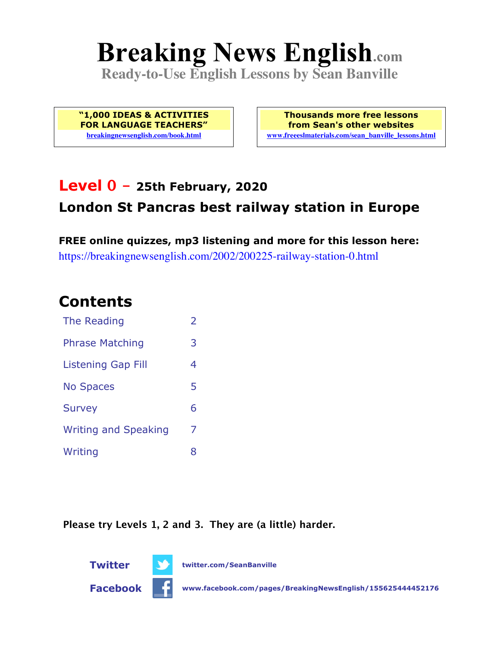# **Breaking News English.com**

**Ready-to-Use English Lessons by Sean Banville**

**"1,000 IDEAS & ACTIVITIES FOR LANGUAGE TEACHERS" breakingnewsenglish.com/book.html**

**Thousands more free lessons from Sean's other websites www.freeeslmaterials.com/sean\_banville\_lessons.html**

#### **Level 0 - 25th February, 2020 London St Pancras best railway station in Europe**

**FREE online quizzes, mp3 listening and more for this lesson here:** https://breakingnewsenglish.com/2002/200225-railway-station-0.html

#### **Contents**

| The Reading                 | $\overline{\phantom{a}}$ |
|-----------------------------|--------------------------|
| <b>Phrase Matching</b>      | 3                        |
| <b>Listening Gap Fill</b>   | 4                        |
| <b>No Spaces</b>            | 5                        |
| <b>Survey</b>               | 6                        |
| <b>Writing and Speaking</b> | 7                        |
| Writing                     | 8                        |

**Please try Levels 1, 2 and 3. They are (a little) harder.**



**Facebook www.facebook.com/pages/BreakingNewsEnglish/155625444452176**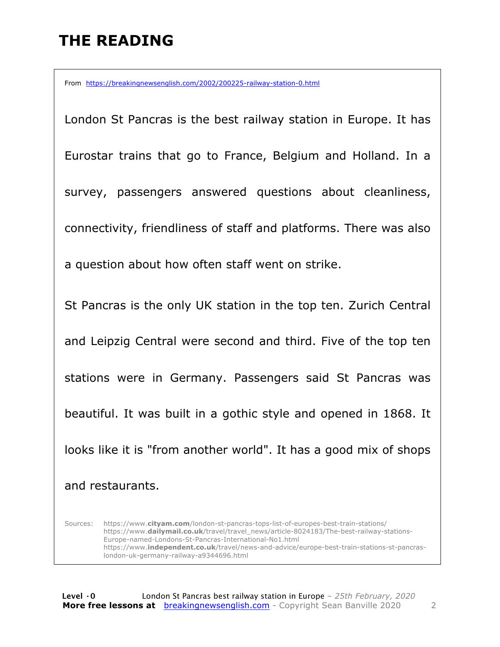# **THE READING**

From https://breakingnewsenglish.com/2002/200225-railway-station-0.html

London St Pancras is the best railway station in Europe. It has Eurostar trains that go to France, Belgium and Holland. In a survey, passengers answered questions about cleanliness, connectivity, friendliness of staff and platforms. There was also a question about how often staff went on strike. St Pancras is the only UK station in the top ten. Zurich Central and Leipzig Central were second and third. Five of the top ten stations were in Germany. Passengers said St Pancras was beautiful. It was built in a gothic style and opened in 1868. It looks like it is "from another world". It has a good mix of shops and restaurants.

Sources: https://www.**cityam.com**/london-st-pancras-tops-list-of-europes-best-train-stations/ https://www.**dailymail.co.uk**/travel/travel\_news/article-8024183/The-best-railway-stations-Europe-named-Londons-St-Pancras-International-No1.html https://www.**independent.co.uk**/travel/news-and-advice/europe-best-train-stations-st-pancraslondon-uk-germany-railway-a9344696.html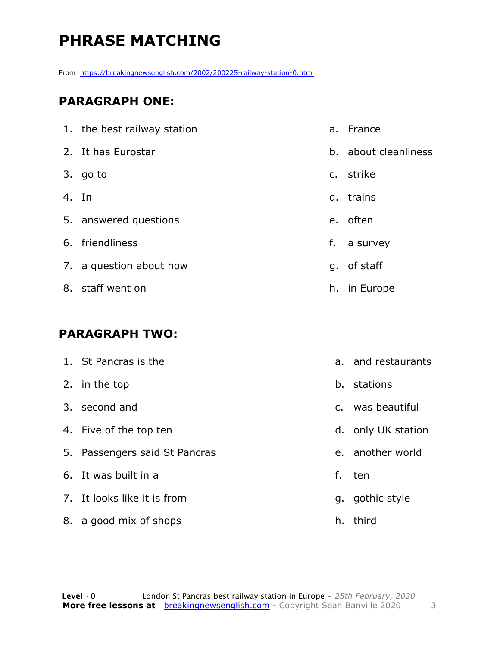# **PHRASE MATCHING**

From https://breakingnewsenglish.com/2002/200225-railway-station-0.html

#### **PARAGRAPH ONE:**

|       | 1. the best railway station | a. France            |
|-------|-----------------------------|----------------------|
|       | 2. It has Eurostar          | b. about cleanliness |
|       | 3. go to                    | c. strike            |
| 4. In |                             | d. trains            |
|       | 5. answered questions       | e. often             |
|       | 6. friendliness             | f. a survey          |
|       | 7. a question about how     | g. of staff          |
|       | 8. staff went on            | h. in Europe         |

#### **PARAGRAPH TWO:**

|    | 1. St Pancras is the          |              | a. and restaurants |
|----|-------------------------------|--------------|--------------------|
|    | 2. in the top                 | b.           | stations           |
|    | 3. second and                 | $C_{\rm{f}}$ | was beautiful      |
|    | 4. Five of the top ten        |              | d. only UK station |
|    | 5. Passengers said St Pancras |              | e. another world   |
|    | 6. It was built in a          | f.           | ten                |
|    | 7. It looks like it is from   | g.           | gothic style       |
| 8. | a good mix of shops           | h.           | third              |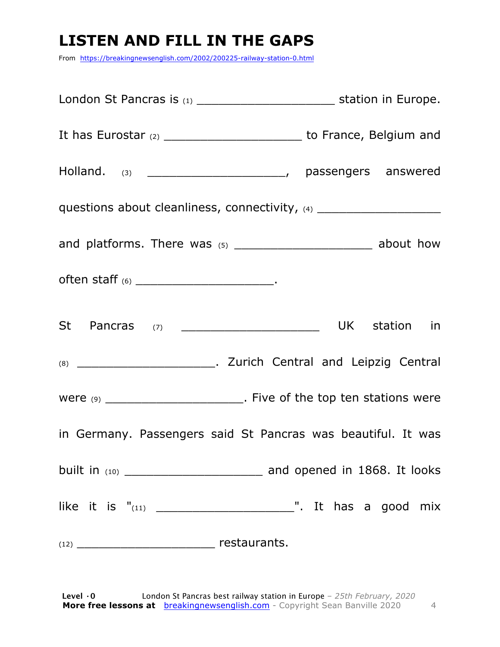# **LISTEN AND FILL IN THE GAPS**

From https://breakingnewsenglish.com/2002/200225-railway-station-0.html

| London St Pancras is (1) _________________________________ station in Europe.    |  |
|----------------------------------------------------------------------------------|--|
| It has Eurostar (2) ___________________________ to France, Belgium and           |  |
|                                                                                  |  |
| questions about cleanliness, connectivity, (4) _________________________________ |  |
|                                                                                  |  |
|                                                                                  |  |
|                                                                                  |  |
|                                                                                  |  |
| Were (9) __________________________. Five of the top ten stations were           |  |
| in Germany. Passengers said St Pancras was beautiful. It was                     |  |
|                                                                                  |  |
|                                                                                  |  |
|                                                                                  |  |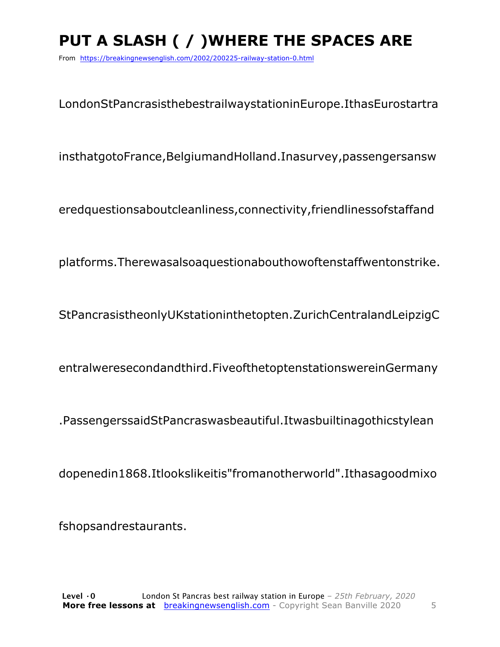# **PUT A SLASH ( / )WHERE THE SPACES ARE**

From https://breakingnewsenglish.com/2002/200225-railway-station-0.html

LondonStPancrasisthebestrailwaystationinEurope.IthasEurostartra

insthatgotoFrance,BelgiumandHolland.Inasurvey,passengersansw

eredquestionsaboutcleanliness,connectivity,friendlinessofstaffand

platforms.Therewasalsoaquestionabouthowoftenstaffwentonstrike.

StPancrasistheonlyUKstationinthetopten.ZurichCentralandLeipzigC

entralweresecondandthird.FiveofthetoptenstationswereinGermany

.PassengerssaidStPancraswasbeautiful.Itwasbuiltinagothicstylean

dopenedin1868.Itlookslikeitis"fromanotherworld".Ithasagoodmixo

fshopsandrestaurants.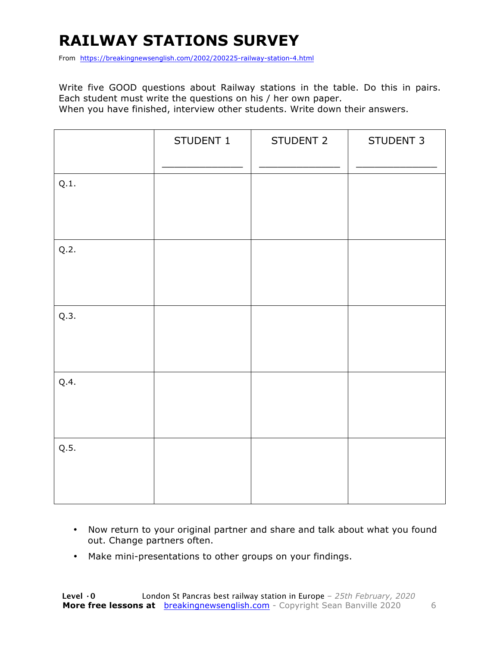# **RAILWAY STATIONS SURVEY**

From https://breakingnewsenglish.com/2002/200225-railway-station-4.html

Write five GOOD questions about Railway stations in the table. Do this in pairs. Each student must write the questions on his / her own paper. When you have finished, interview other students. Write down their answers.

|      | STUDENT 1 | STUDENT 2 | STUDENT 3 |
|------|-----------|-----------|-----------|
| Q.1. |           |           |           |
| Q.2. |           |           |           |
| Q.3. |           |           |           |
| Q.4. |           |           |           |
| Q.5. |           |           |           |

- Now return to your original partner and share and talk about what you found out. Change partners often.
- Make mini-presentations to other groups on your findings.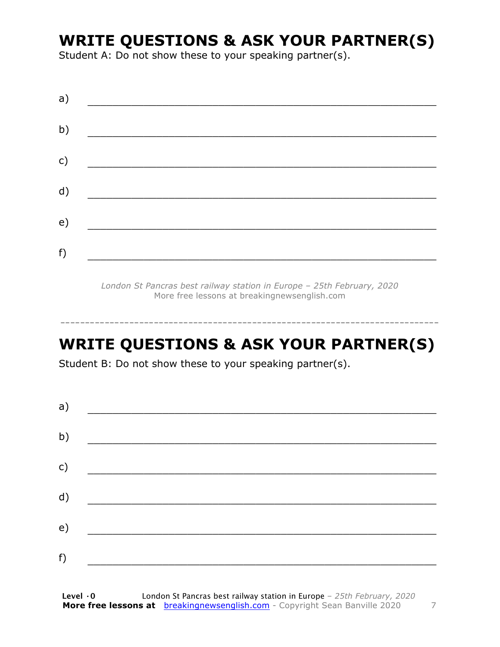#### **WRITE QUESTIONS & ASK YOUR PARTNER(S)**

Student A: Do not show these to your speaking partner(s).

| a) |  |  |
|----|--|--|
| b) |  |  |
| c) |  |  |
| d) |  |  |
| e) |  |  |
| f) |  |  |

*London St Pancras best railway station in Europe – 25th February, 2020* More free lessons at breakingnewsenglish.com

### **WRITE QUESTIONS & ASK YOUR PARTNER(S)**

-----------------------------------------------------------------------------

Student B: Do not show these to your speaking partner(s).

| a) |  |  |
|----|--|--|
| b) |  |  |
| c) |  |  |
| d) |  |  |
| e) |  |  |
| f) |  |  |
|    |  |  |

**Level ·0** London St Pancras best railway station in Europe *– 25th February, 2020* **More free lessons at** breakingnewsenglish.com - Copyright Sean Banville 2020 7